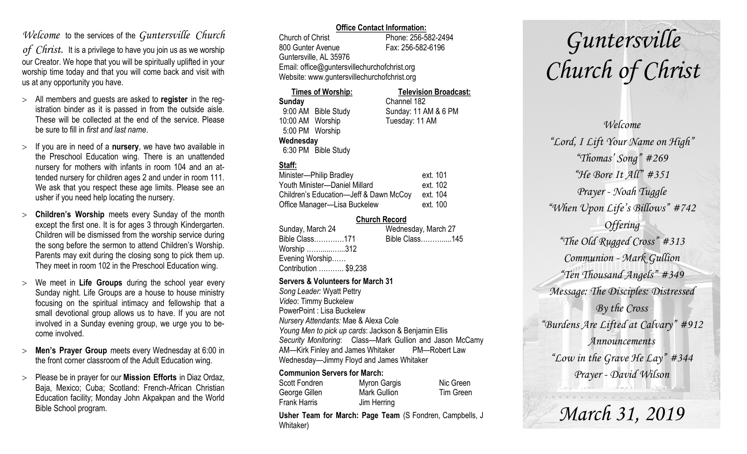### *Welcome* to the services of the *Guntersville Church*

*of Christ*. It is a privilege to have you join us as we worship our Creator. We hope that you will be spiritually uplifted in your worship time today and that you will come back and visit with us at any opportunity you have.

- All members and guests are asked to **register** in the registration binder as it is passed in from the outside aisle. These will be collected at the end of the service. Please be sure to fill in *first and last name*.
- $>$  If you are in need of a **nursery**, we have two available in the Preschool Education wing. There is an unattended nursery for mothers with infants in room 104 and an attended nursery for children ages 2 and under in room 111. We ask that you respect these age limits. Please see an usher if you need help locating the nursery.
- **Children's Worship** meets every Sunday of the month except the first one. It is for ages 3 through Kindergarten. Children will be dismissed from the worship service during the song before the sermon to attend Children's Worship. Parents may exit during the closing song to pick them up. They meet in room 102 in the Preschool Education wing.
- We meet in **Life Groups** during the school year every Sunday night. Life Groups are a house to house ministry focusing on the spiritual intimacy and fellowship that a small devotional group allows us to have. If you are not involved in a Sunday evening group, we urge you to become involved.
- **Men's Prayer Group** meets every Wednesday at 6:00 in the front corner classroom of the Adult Education wing.
- Please be in prayer for our **Mission Efforts** in Diaz Ordaz, Baja, Mexico; Cuba; Scotland: French-African Christian Education facility; Monday John Akpakpan and the World Bible School program.

### **Office Contact Information:**

Church of Christ Phone: 256-582-2494 800 Gunter Avenue Fax: 256-582-6196 Guntersville, AL 35976 Email: office@guntersvillechurchofchrist.org Website: www.guntersvillechurchofchrist.org

| <b>Times of Worship:</b> |                     | <b>Television Broadcast:</b> |  |
|--------------------------|---------------------|------------------------------|--|
| Sunday                   |                     | Channel 182                  |  |
|                          | 9:00 AM Bible Study | Sunday: 11 AM & 6 PM         |  |
| 10:00 AM Worship         |                     | Tuesday: 11 AM               |  |
| 5:00 PM Worship          |                     |                              |  |
| Wednesday                |                     |                              |  |
|                          | 6:30 PM Bible Study |                              |  |

### **Staff:**

| Minister-Philip Bradley                | ext. 101 |
|----------------------------------------|----------|
| Youth Minister-Daniel Millard          | ext. 102 |
| Children's Education-Jeff & Dawn McCoy | ext. 104 |
| Office Manager-Lisa Buckelew           | ext. 100 |

### **Church Record**

| Sunday, March 24      | Wednesday, March 27 |  |
|-----------------------|---------------------|--|
| Bible Class171        | Bible Class145      |  |
| Worship 312           |                     |  |
| Evening Worship       |                     |  |
| Contribution  \$9,238 |                     |  |
|                       |                     |  |

#### **Servers & Volunteers for March 31**

*Song Leader:* Wyatt Pettry *Video*: Timmy Buckelew PowerPoint : Lisa Buckelew *Nursery Attendants:* Mae & Alexa Cole *Young Men to pick up cards*: Jackson & Benjamin Ellis *Security Monitoring*: Class—Mark Gullion and Jason McCamy AM—Kirk Finley and James Whitaker PM—Robert Law Wednesday—Jimmy Floyd and James Whitaker

### **Communion Servers for March:**

| Scott Fondren       | Myron Gargis        | Nic Green |
|---------------------|---------------------|-----------|
| George Gillen       | <b>Mark Gullion</b> | Tim Green |
| <b>Frank Harris</b> | Jim Herring         |           |

**Usher Team for March: Page Team** (S Fondren, Campbells, J Whitaker)

# *Guntersville Church of Christ*

*Welcome "Lord, I Lift Your Name on High" "Thomas' Song" #269 "He Bore It All" #351 Prayer - Noah Tuggle "When Upon Life's Billows" #742 Offering "The Old Rugged Cross" #313 Communion - Mark Gullion "Ten Thousand Angels" #349 Message: The Disciples: Distressed By the Cross "Burdens Are Lifted at Calvary" #912 Announcements "Low in the Grave He Lay" #344 Prayer - David Wilson*

*March 31, 2019*